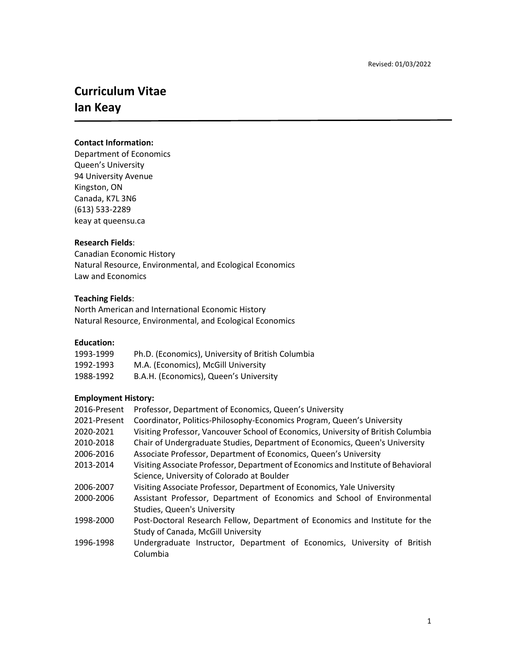# **Curriculum Vitae Ian Keay**

## **Contact Information:**

Department of Economics Queen's University 94 University Avenue Kingston, ON Canada, K7L 3N6 (613) 533-2289 keay at queensu.ca

#### **Research Fields**:

Canadian Economic History Natural Resource, Environmental, and Ecological Economics Law and Economics

#### **Teaching Fields**:

North American and International Economic History Natural Resource, Environmental, and Ecological Economics

# **Education:**

| 1993-1999 | Ph.D. (Economics), University of British Columbia |
|-----------|---------------------------------------------------|
| 1992-1993 | M.A. (Economics), McGill University               |
| 1988-1992 | B.A.H. (Economics), Queen's University            |

## **Employment History:**

| 2016-Present | Professor, Department of Economics, Queen's University                            |
|--------------|-----------------------------------------------------------------------------------|
| 2021-Present | Coordinator, Politics-Philosophy-Economics Program, Queen's University            |
| 2020-2021    | Visiting Professor, Vancouver School of Economics, University of British Columbia |
| 2010-2018    | Chair of Undergraduate Studies, Department of Economics, Queen's University       |
| 2006-2016    | Associate Professor, Department of Economics, Queen's University                  |
| 2013-2014    | Visiting Associate Professor, Department of Economics and Institute of Behavioral |
|              | Science, University of Colorado at Boulder                                        |
| 2006-2007    | Visiting Associate Professor, Department of Economics, Yale University            |
| 2000-2006    | Assistant Professor, Department of Economics and School of Environmental          |
|              | <b>Studies, Queen's University</b>                                                |
| 1998-2000    | Post-Doctoral Research Fellow, Department of Economics and Institute for the      |
|              | Study of Canada, McGill University                                                |
| 1996-1998    | Undergraduate Instructor, Department of Economics, University of British          |
|              | Columbia                                                                          |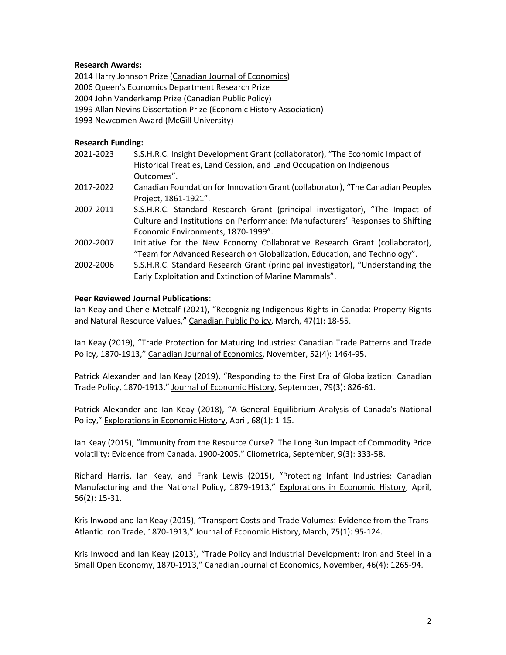## **Research Awards:**

2014 Harry Johnson Prize (Canadian Journal of Economics) Queen's Economics Department Research Prize John Vanderkamp Prize (Canadian Public Policy) Allan Nevins Dissertation Prize (Economic History Association) Newcomen Award (McGill University)

## **Research Funding:**

| S.S.H.R.C. Insight Development Grant (collaborator), "The Economic Impact of    |
|---------------------------------------------------------------------------------|
|                                                                                 |
| Canadian Foundation for Innovation Grant (collaborator), "The Canadian Peoples  |
|                                                                                 |
| S.S.H.R.C. Standard Research Grant (principal investigator), "The Impact of     |
| Culture and Institutions on Performance: Manufacturers' Responses to Shifting   |
|                                                                                 |
| Initiative for the New Economy Collaborative Research Grant (collaborator),     |
| "Team for Advanced Research on Globalization, Education, and Technology".       |
| S.S.H.R.C. Standard Research Grant (principal investigator), "Understanding the |
|                                                                                 |
|                                                                                 |

## **Peer Reviewed Journal Publications**:

Ian Keay and Cherie Metcalf (2021), "Recognizing Indigenous Rights in Canada: Property Rights and Natural Resource Values," Canadian Public Policy, March, 47(1): 18-55.

Ian Keay (2019), "Trade Protection for Maturing Industries: Canadian Trade Patterns and Trade Policy, 1870-1913," Canadian Journal of Economics, November, 52(4): 1464-95.

Patrick Alexander and Ian Keay (2019), "Responding to the First Era of Globalization: Canadian Trade Policy, 1870-1913," Journal of Economic History, September, 79(3): 826-61.

Patrick Alexander and Ian Keay (2018), "A General Equilibrium Analysis of Canada's National Policy," Explorations in Economic History, April, 68(1): 1-15.

Ian Keay (2015), "Immunity from the Resource Curse? The Long Run Impact of Commodity Price Volatility: Evidence from Canada, 1900-2005," Cliometrica, September, 9(3): 333-58.

Richard Harris, Ian Keay, and Frank Lewis (2015), "Protecting Infant Industries: Canadian Manufacturing and the National Policy, 1879-1913," Explorations in Economic History, April, 56(2): 15-31.

Kris Inwood and Ian Keay (2015), "Transport Costs and Trade Volumes: Evidence from the Trans-Atlantic Iron Trade, 1870-1913," Journal of Economic History, March, 75(1): 95-124.

Kris Inwood and Ian Keay (2013), "Trade Policy and Industrial Development: Iron and Steel in a Small Open Economy, 1870-1913," Canadian Journal of Economics, November, 46(4): 1265-94.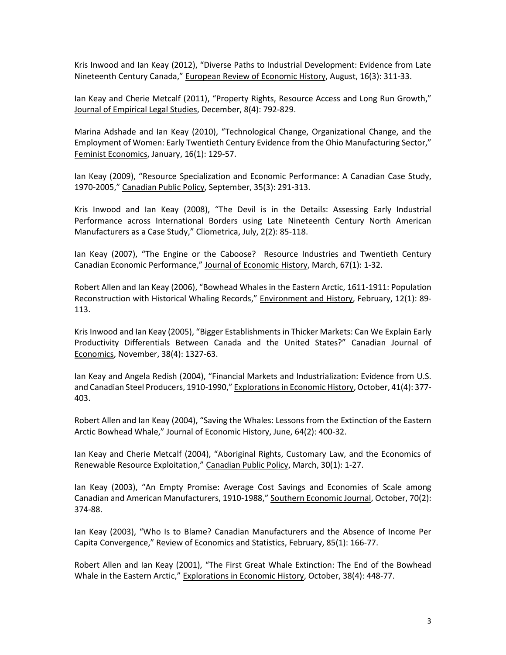Kris Inwood and Ian Keay (2012), "Diverse Paths to Industrial Development: Evidence from Late Nineteenth Century Canada," European Review of Economic History, August, 16(3): 311-33.

Ian Keay and Cherie Metcalf (2011), "Property Rights, Resource Access and Long Run Growth," Journal of Empirical Legal Studies, December, 8(4): 792-829.

Marina Adshade and Ian Keay (2010), "Technological Change, Organizational Change, and the Employment of Women: Early Twentieth Century Evidence from the Ohio Manufacturing Sector," Feminist Economics, January, 16(1): 129-57.

Ian Keay (2009), "Resource Specialization and Economic Performance: A Canadian Case Study, 1970-2005," Canadian Public Policy, September, 35(3): 291-313.

Kris Inwood and Ian Keay (2008), "The Devil is in the Details: Assessing Early Industrial Performance across International Borders using Late Nineteenth Century North American Manufacturers as a Case Study," Cliometrica, July, 2(2): 85-118.

Ian Keay (2007), "The Engine or the Caboose? Resource Industries and Twentieth Century Canadian Economic Performance," Journal of Economic History, March, 67(1): 1-32.

Robert Allen and Ian Keay (2006), "Bowhead Whales in the Eastern Arctic, 1611-1911: Population Reconstruction with Historical Whaling Records," Environment and History, February, 12(1): 89- 113.

Kris Inwood and Ian Keay (2005), "Bigger Establishments in Thicker Markets: Can We Explain Early Productivity Differentials Between Canada and the United States?" Canadian Journal of Economics, November, 38(4): 1327-63.

Ian Keay and Angela Redish (2004), "Financial Markets and Industrialization: Evidence from U.S. and Canadian Steel Producers, 1910-1990," Explorations in Economic History, October, 41(4): 377- 403.

Robert Allen and Ian Keay (2004), "Saving the Whales: Lessons from the Extinction of the Eastern Arctic Bowhead Whale," Journal of Economic History, June, 64(2): 400-32.

Ian Keay and Cherie Metcalf (2004), "Aboriginal Rights, Customary Law, and the Economics of Renewable Resource Exploitation," Canadian Public Policy, March, 30(1): 1-27.

Ian Keay (2003), "An Empty Promise: Average Cost Savings and Economies of Scale among Canadian and American Manufacturers, 1910-1988," Southern Economic Journal, October, 70(2): 374-88.

Ian Keay (2003), "Who Is to Blame? Canadian Manufacturers and the Absence of Income Per Capita Convergence," Review of Economics and Statistics, February, 85(1): 166-77.

Robert Allen and Ian Keay (2001), "The First Great Whale Extinction: The End of the Bowhead Whale in the Eastern Arctic," Explorations in Economic History, October, 38(4): 448-77.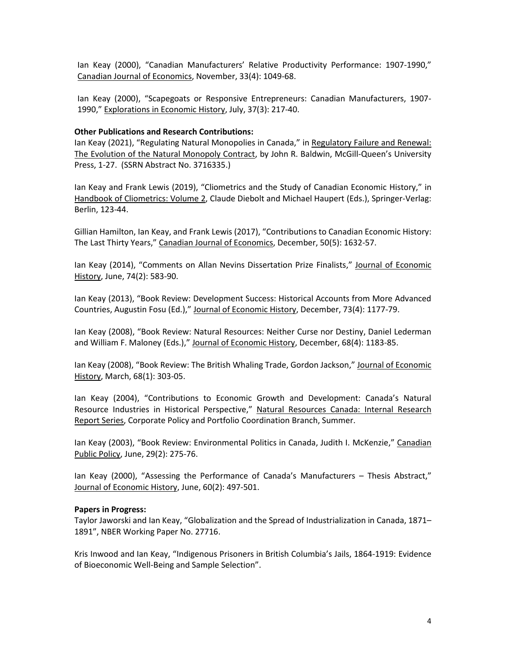Ian Keay (2000), "Canadian Manufacturers' Relative Productivity Performance: 1907-1990," Canadian Journal of Economics, November, 33(4): 1049-68.

Ian Keay (2000), "Scapegoats or Responsive Entrepreneurs: Canadian Manufacturers, 1907- 1990," Explorations in Economic History, July, 37(3): 217-40.

#### **Other Publications and Research Contributions:**

Ian Keay (2021), "Regulating Natural Monopolies in Canada," in Regulatory Failure and Renewal: The Evolution of the Natural Monopoly Contract, by John R. Baldwin, McGill-Queen's University Press, 1-27. (SSRN Abstract No. 3716335.)

Ian Keay and Frank Lewis (2019), "Cliometrics and the Study of Canadian Economic History," in Handbook of Cliometrics: Volume 2, Claude Diebolt and Michael Haupert (Eds.), Springer-Verlag: Berlin, 123-44.

Gillian Hamilton, Ian Keay, and Frank Lewis (2017), "Contributions to Canadian Economic History: The Last Thirty Years," Canadian Journal of Economics, December, 50(5): 1632-57.

Ian Keay (2014), "Comments on Allan Nevins Dissertation Prize Finalists," Journal of Economic History, June, 74(2): 583-90.

Ian Keay (2013), "Book Review: Development Success: Historical Accounts from More Advanced Countries, Augustin Fosu (Ed.)," Journal of Economic History, December, 73(4): 1177-79.

Ian Keay (2008), "Book Review: Natural Resources: Neither Curse nor Destiny, Daniel Lederman and William F. Maloney (Eds.)," Journal of Economic History, December, 68(4): 1183-85.

Ian Keay (2008), "Book Review: The British Whaling Trade, Gordon Jackson," Journal of Economic History, March, 68(1): 303-05.

Ian Keay (2004), "Contributions to Economic Growth and Development: Canada's Natural Resource Industries in Historical Perspective," Natural Resources Canada: Internal Research Report Series, Corporate Policy and Portfolio Coordination Branch, Summer.

Ian Keay (2003), "Book Review: Environmental Politics in Canada, Judith I. McKenzie," Canadian Public Policy, June, 29(2): 275-76.

Ian Keay (2000), "Assessing the Performance of Canada's Manufacturers – Thesis Abstract," Journal of Economic History, June, 60(2): 497-501.

#### **Papers in Progress:**

Taylor Jaworski and Ian Keay, "Globalization and the Spread of Industrialization in Canada, 1871– 1891", NBER Working Paper No. 27716.

Kris Inwood and Ian Keay, "Indigenous Prisoners in British Columbia's Jails, 1864-1919: Evidence of Bioeconomic Well-Being and Sample Selection".